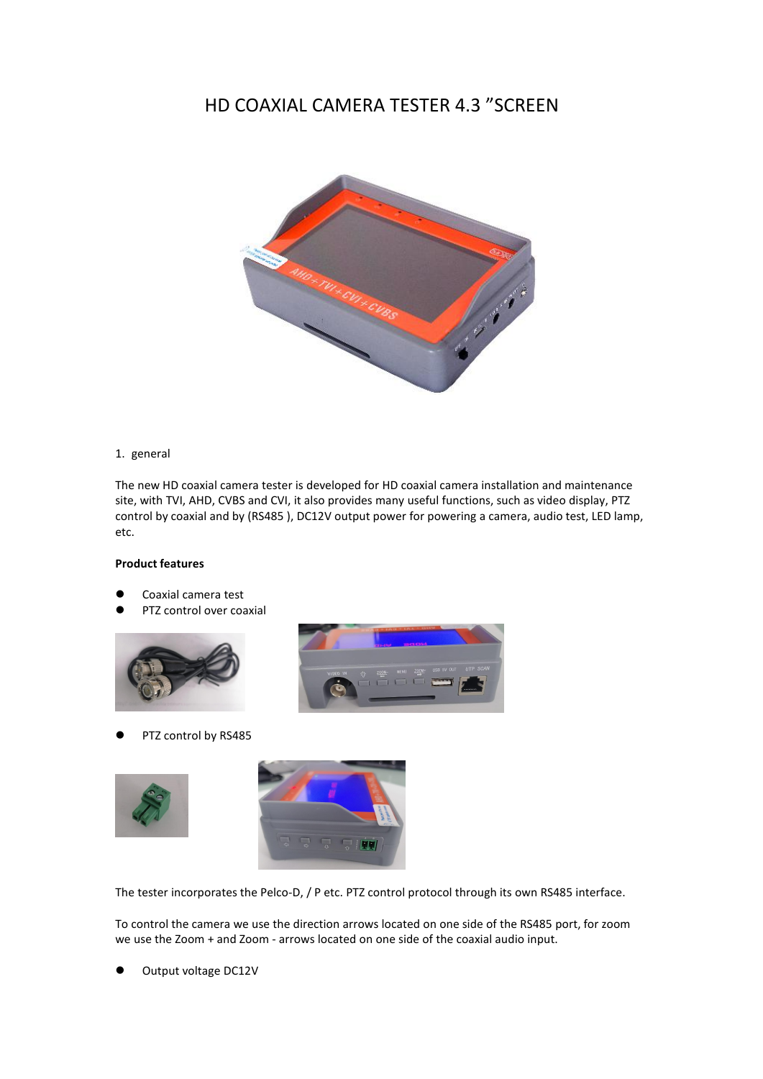## HD COAXIAL CAMERA TESTER 4.3 "SCREEN



## 1. general

The new HD coaxial camera tester is developed for HD coaxial camera installation and maintenance site, with TVI, AHD, CVBS and CVI, it also provides many useful functions, such as video display, PTZ control by coaxial and by (RS485), DC12V output power for powering a camera, audio test, LED lamp, etc.

## **Product features**

- Coaxial camera test
- PTZ control over coaxial





PTZ control by RS485





The tester incorporates the Pelco-D, / P etc. PTZ control protocol through its own RS485 interface.

To control the camera we use the direction arrows located on one side of the RS485 port, for zoom we use the Zoom + and Zoom - arrows located on one side of the coaxial audio input.

Output voltage DC12V